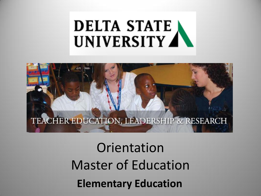### **DELTA STATE** UNIVERSITY A



## Orientation Master of Education **Elementary Education**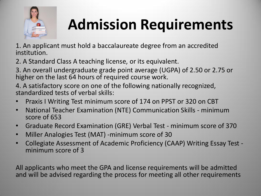

# **Admission Requirements**

1. An applicant must hold a baccalaureate degree from an accredited institution.

2. A Standard Class A teaching license, or its equivalent.

3. An overall undergraduate grade point average (UGPA) of 2.50 or 2.75 or higher on the last 64 hours of required course work.

4. A satisfactory score on one of the following nationally recognized, standardized tests of verbal skills:

- Praxis I Writing Test minimum score of 174 on PPST or 320 on CBT
- National Teacher Examination (NTE) Communication Skills minimum score of 653
- Graduate Record Examination (GRE) Verbal Test minimum score of 370
- Miller Analogies Test (MAT) -minimum score of 30
- Collegiate Assessment of Academic Proficiency (CAAP) Writing Essay Test minimum score of 3

All applicants who meet the GPA and license requirements will be admitted and will be advised regarding the process for meeting all other requirements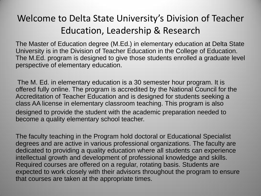#### Welcome to Delta State University's Division of Teacher Education, Leadership & Research

The Master of Education degree (M.Ed.) in elementary education at Delta State University is in the Division of Teacher Education in the College of Education. The M.Ed. program is designed to give those students enrolled a graduate level perspective of elementary education.

The M. Ed. in elementary education is a 30 semester hour program. It is offered fully online. The program is accredited by the National Council for the Accreditation of Teacher Education and is designed for students seeking a class AA license in elementary classroom teaching. This program is also designed to provide the student with the academic preparation needed to become a quality elementary school teacher.

The faculty teaching in the Program hold doctoral or Educational Specialist degrees and are active in various professional organizations. The faculty are dedicated to providing a quality education where all students can experience intellectual growth and development of professional knowledge and skills. Required courses are offered on a regular, rotating basis. Students are expected to work closely with their advisors throughout the program to ensure that courses are taken at the appropriate times.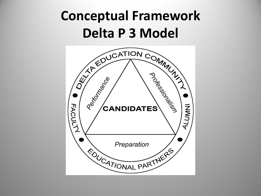#### **Conceptual Framework Delta P 3 Model**

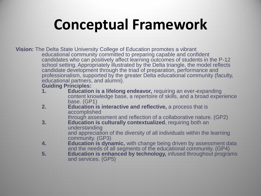## **Conceptual Framework**

**Vision:** The Delta State University College of Education promotes a vibrant educational community committed to preparing capable and confident candidates who can positively affect learning outcomes of students in the P-12 school setting. Appropriately illustrated by the Delta triangle, the model reflects candidate development through the triad of preparation, performance and professionalism, supported by the greater Delta educational community (faculty, educational partners, and alumni).

#### **Guiding Principles:**

- **1. Education is a lifelong endeavor,** requiring an ever-expanding content knowledge base, a repertoire of skills, and a broad experience base. (GP1)
- **2. Education is interactive and reflective,** a process that is accomplished

through assessment and reflection of a collaborative nature. (GP2)

- **3. Education is culturally contextualized**, requiring both an understanding and appreciation of the diversity of all individuals within the learning community. (GP3)
- **4. Education is dynamic,** with change being driven by assessment data and the needs of all segments of the educational community. (GP4)
- **5. Education is enhanced by technology,** infused throughout programs and services. (GP5)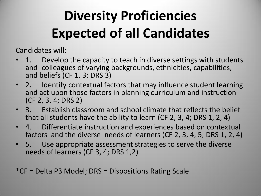## **Diversity Proficiencies Expected of all Candidates**

Candidates will:

- 1. Develop the capacity to teach in diverse settings with students and colleagues of varying backgrounds, ethnicities, capabilities, and beliefs (CF 1, 3; DRS 3)
- 2. Identify contextual factors that may influence student learning and act upon those factors in planning curriculum and instruction (CF 2, 3, 4; DRS 2)
- 3. Establish classroom and school climate that reflects the belief that all students have the ability to learn (CF 2, 3, 4; DRS 1, 2, 4)
- 4. Differentiate instruction and experiences based on contextual factors and the diverse needs of learners (CF 2, 3, 4, 5; DRS 1, 2, 4)
- 5. Use appropriate assessment strategies to serve the diverse needs of learners (CF 3, 4; DRS 1,2)

\*CF = Delta P3 Model; DRS = Dispositions Rating Scale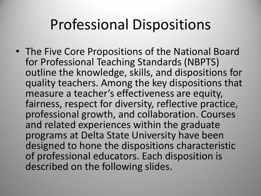#### Professional Dispositions

• The Five Core Propositions of the National Board for Professional Teaching Standards (NBPTS) outline the knowledge, skills, and dispositions for quality teachers. Among the key dispositions that measure a teacher's effectiveness are equity, fairness, respect for diversity, reflective practice, professional growth, and collaboration. Courses and related experiences within the graduate programs at Delta State University have been designed to hone the dispositions characteristic of professional educators. Each disposition is described on the following slides.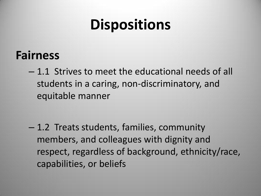#### **Fairness**

– 1.1 Strives to meet the educational needs of all students in a caring, non-discriminatory, and equitable manner

– 1.2 Treats students, families, community members, and colleagues with dignity and respect, regardless of background, ethnicity/race, capabilities, or beliefs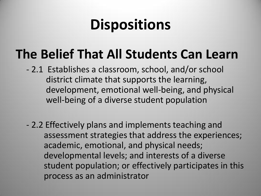#### **The Belief That All Students Can Learn**

- 2.1 Establishes a classroom, school, and/or school district climate that supports the learning, development, emotional well-being, and physical well-being of a diverse student population
- 2.2 Effectively plans and implements teaching and assessment strategies that address the experiences; academic, emotional, and physical needs; developmental levels; and interests of a diverse student population; or effectively participates in this process as an administrator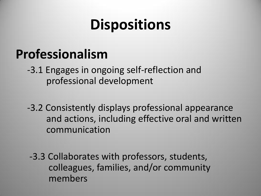#### **Professionalism**

 -3.1 Engages in ongoing self-reflection and professional development

 -3.2 Consistently displays professional appearance and actions, including effective oral and written communication

 -3.3 Collaborates with professors, students, colleagues, families, and/or community members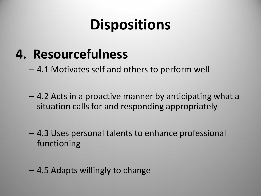#### **4. Resourcefulness**

– 4.1 Motivates self and others to perform well

- 4.2 Acts in a proactive manner by anticipating what a situation calls for and responding appropriately
- 4.3 Uses personal talents to enhance professional functioning
- 4.5 Adapts willingly to change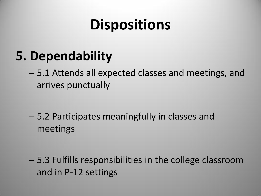#### **5. Dependability**

– 5.1 Attends all expected classes and meetings, and arrives punctually

– 5.2 Participates meaningfully in classes and meetings

– 5.3 Fulfills responsibilities in the college classroom and in P-12 settings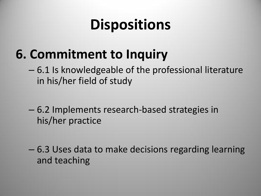#### **6. Commitment to Inquiry**

- 6.1 Is knowledgeable of the professional literature in his/her field of study
- 6.2 Implements research-based strategies in his/her practice
- 6.3 Uses data to make decisions regarding learning and teaching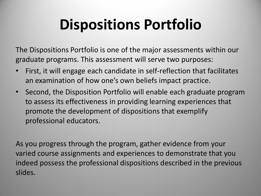## **Dispositions Portfolio**

The Dispositions Portfolio is one of the major assessments within our graduate programs. This assessment will serve two purposes:

- First, it will engage each candidate in self-reflection that facilitates an examination of how one's own beliefs impact practice.
- Second, the Disposition Portfolio will enable each graduate program to assess its effectiveness in providing learning experiences that promote the development of dispositions that exemplify professional educators.

As you progress through the program, gather evidence from your varied course assignments and experiences to demonstrate that you indeed possess the professional dispositions described in the previous slides.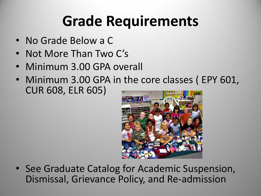## **Grade Requirements**

- No Grade Below a C
- Not More Than Two C's
- Minimum 3.00 GPA overall
- Minimum 3.00 GPA in the core classes (EPY 601, CUR 608, ELR 605)



• See Graduate Catalog for Academic Suspension, Dismissal, Grievance Policy, and Re-admission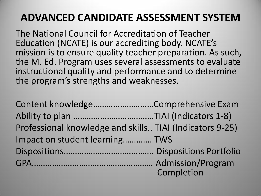#### **ADVANCED CANDIDATE ASSESSMENT SYSTEM**

The National Council for Accreditation of Teacher Education (NCATE) is our accrediting body. NCATE's mission is to ensure quality teacher preparation. As such, the M. Ed. Program uses several assessments to evaluate instructional quality and performance and to determine the program's strengths and weaknesses.

Content knowledge………………………Comprehensive Exam Ability to plan ………………………………TIAI (Indicators 1-8) Professional knowledge and skills.. TIAI (Indicators 9-25) Impact on student learning…………. TWS Dispositions…………………………………. Dispositions Portfolio GPA……………………………………………… Admission/Program Completion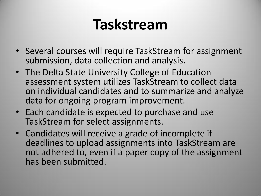## **Taskstream**

- Several courses will require TaskStream for assignment submission, data collection and analysis.
- The Delta State University College of Education assessment system utilizes TaskStream to collect data on individual candidates and to summarize and analyze data for ongoing program improvement.
- Each candidate is expected to purchase and use TaskStream for select assignments.
- Candidates will receive a grade of incomplete if deadlines to upload assignments into TaskStream are not adhered to, even if a paper copy of the assignment has been submitted.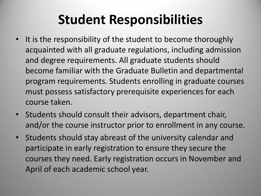#### **Student Responsibilities**

- It is the responsibility of the student to become thoroughly acquainted with all graduate regulations, including admission and degree requirements. All graduate students should become familiar with the Graduate Bulletin and departmental program requirements. Students enrolling in graduate courses must possess satisfactory prerequisite experiences for each course taken.
- Students should consult their advisors, department chair, and/or the course instructor prior to enrollment in any course.
- Students should stay abreast of the university calendar and participate in early registration to ensure they secure the courses they need. Early registration occurs in November and April of each academic school year.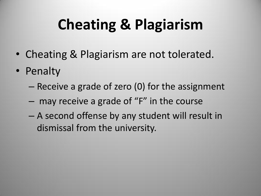# **Cheating & Plagiarism**

- Cheating & Plagiarism are not tolerated.
- Penalty
	- Receive a grade of zero (0) for the assignment
	- may receive a grade of "F" in the course
	- A second offense by any student will result in dismissal from the university.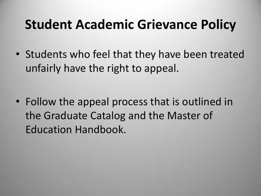#### **Student Academic Grievance Policy**

• Students who feel that they have been treated unfairly have the right to appeal.

• Follow the appeal process that is outlined in the Graduate Catalog and the Master of Education Handbook.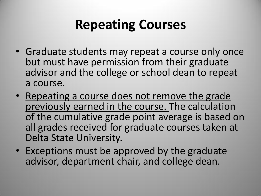#### **Repeating Courses**

- Graduate students may repeat a course only once but must have permission from their graduate advisor and the college or school dean to repeat a course.
- Repeating a course does not remove the grade previously earned in the course. The calculation of the cumulative grade point average is based on all grades received for graduate courses taken at Delta State University.
- Exceptions must be approved by the graduate advisor, department chair, and college dean.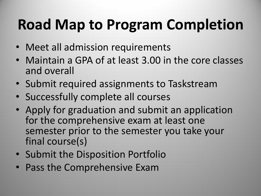# **Road Map to Program Completion**

- Meet all admission requirements
- Maintain a GPA of at least 3.00 in the core classes and overall
- Submit required assignments to Taskstream
- Successfully complete all courses
- Apply for graduation and submit an application for the comprehensive exam at least one semester prior to the semester you take your final course(s)
- Submit the Disposition Portfolio
- Pass the Comprehensive Exam